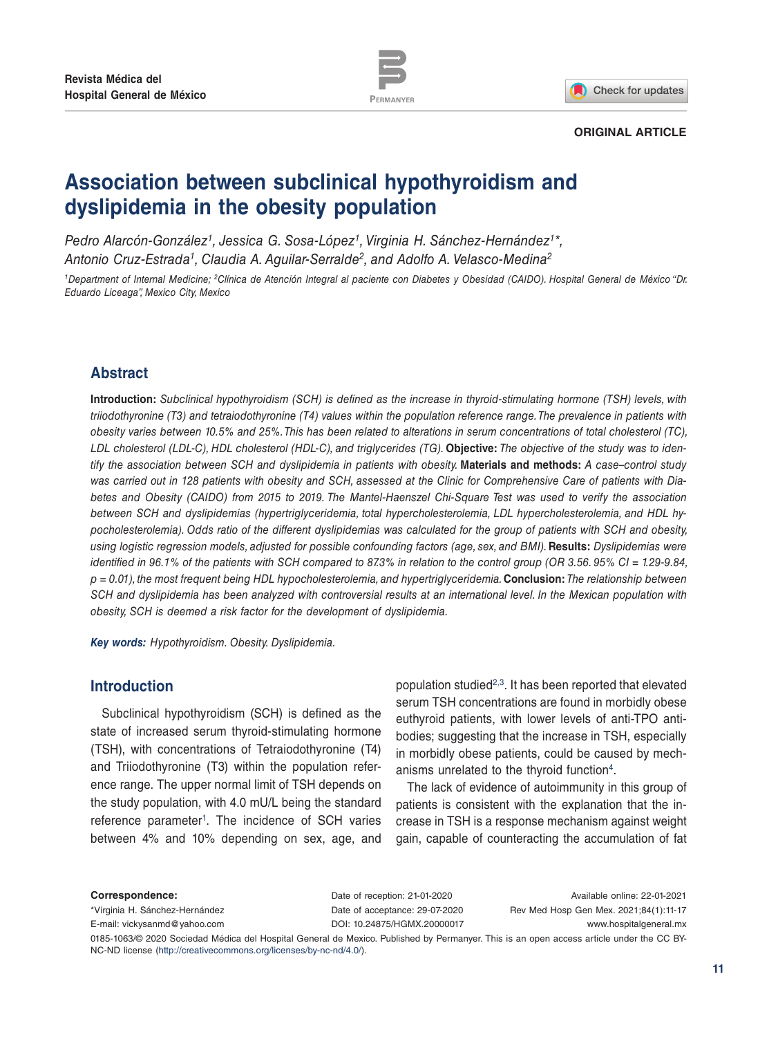

Check for updates

#### **ORIGINAL ARTICLE**

# **Association between subclinical hypothyroidism and dyslipidemia in the obesity population**

*Pedro Alarcón-González1, Jessica G. Sosa-López1, Virginia H. Sánchez-Hernández1\*, Antonio Cruz-Estrada1, Claudia A. Aguilar-Serralde2, and Adolfo A. Velasco-Medina2*

*1Department of Internal Medicine; 2Clínica de Atención Integral al paciente con Diabetes y Obesidad (CAIDO). Hospital General de México "Dr. Eduardo Liceaga", Mexico City, Mexico*

# **Abstract**

**Introduction:** *Subclinical hypothyroidism (SCH) is defined as the increase in thyroid-stimulating hormone (TSH) levels, with triiodothyronine (T3) and tetraiodothyronine (T4) values within the population reference range. The prevalence in patients with obesity varies between 10.5% and 25%. This has been related to alterations in serum concentrations of total cholesterol (TC),*  LDL cholesterol (LDL-C), HDL cholesterol (HDL-C), and triglycerides (TG). **Objective:** The objective of the study was to iden*tify the association between SCH and dyslipidemia in patients with obesity.* **Materials and methods:** *A case–control study was carried out in 128 patients with obesity and SCH, assessed at the Clinic for Comprehensive Care of patients with Diabetes and Obesity (CAIDO) from 2015 to 2019. The Mantel-Haenszel Chi-Square Test was used to verify the association between SCH and dyslipidemias (hypertriglyceridemia, total hypercholesterolemia, LDL hypercholesterolemia, and HDL hypocholesterolemia). Odds ratio of the different dyslipidemias was calculated for the group of patients with SCH and obesity, using logistic regression models, adjusted for possible confounding factors (age, sex, and BMI).* **Results:** *Dyslipidemias were identified in 96.1% of the patients with SCH compared to 87.3% in relation to the control group (OR 3.56. 95% CI = 1.29-9.84, p = 0.01), the most frequent being HDL hypocholesterolemia, and hypertriglyceridemia.* **Conclusion:** *The relationship between SCH and dyslipidemia has been analyzed with controversial results at an international level. In the Mexican population with obesity, SCH is deemed a risk factor for the development of dyslipidemia.*

*Key words: Hypothyroidism. Obesity. Dyslipidemia.*

# **Introduction**

Subclinical hypothyroidism (SCH) is defined as the state of increased serum thyroid-stimulating hormone (TSH), with concentrations of Tetraiodothyronine (T4) and Triiodothyronine (T3) within the population reference range. The upper normal limit of TSH depends on the study population, with 4.0 mU/L being the standard reference parameter<sup>1</sup>. The incidence of SCH varies between 4% and 10% depending on sex, age, and population studied<sup>2,3</sup>. It has been reported that elevated serum TSH concentrations are found in morbidly obese euthyroid patients, with lower levels of anti-TPO antibodies; suggesting that the increase in TSH, especially in morbidly obese patients, could be caused by mechanisms unrelated to the thyroid function<sup>4</sup>.

The lack of evidence of autoimmunity in this group of patients is consistent with the explanation that the increase in TSH is a response mechanism against weight gain, capable of counteracting the accumulation of fat

**Correspondence:** \*Virginia H. Sánchez-Hernández E-mail: vickysanmd@yahoo.com Date of reception: 21-01-2020 Date of acceptance: 29-07-2020 DOI: 10.24875/HGMX.20000017

Available online: 22-01-2021 Rev Med Hosp Gen Mex. 2021;84(1):11-17 www.hospitalgeneral.mx

0185-1063/© 2020 Sociedad Médica del Hospital General de Mexico. Published by Permanyer. This is an open access article under the CC BY-NC-ND license (http://creativecommons.org/licenses/by-nc-nd/4.0/).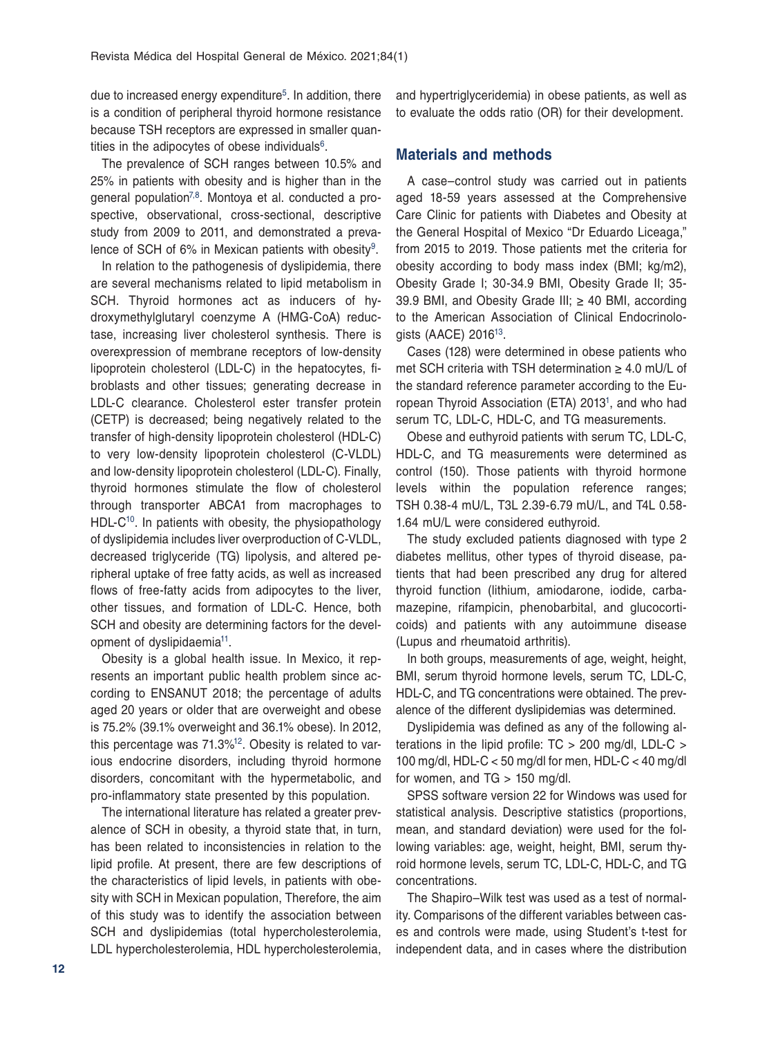due to increased energy expenditure<sup>5</sup>. In addition, there is a condition of peripheral thyroid hormone resistance because TSH receptors are expressed in smaller quantities in the adipocytes of obese individuals $6$ .

The prevalence of SCH ranges between 10.5% and 25% in patients with obesity and is higher than in the general population<sup>7,8</sup>. Montoya et al. conducted a prospective, observational, cross-sectional, descriptive study from 2009 to 2011, and demonstrated a prevalence of SCH of 6% in Mexican patients with obesity<sup>9</sup>.

In relation to the pathogenesis of dyslipidemia, there are several mechanisms related to lipid metabolism in SCH. Thyroid hormones act as inducers of hydroxymethylglutaryl coenzyme A (HMG-CoA) reductase, increasing liver cholesterol synthesis. There is overexpression of membrane receptors of low-density lipoprotein cholesterol (LDL-C) in the hepatocytes, fibroblasts and other tissues; generating decrease in LDL-C clearance. Cholesterol ester transfer protein (CETP) is decreased; being negatively related to the transfer of high-density lipoprotein cholesterol (HDL-C) to very low-density lipoprotein cholesterol (C-VLDL) and low-density lipoprotein cholesterol (LDL-C). Finally, thyroid hormones stimulate the flow of cholesterol through transporter ABCA1 from macrophages to HDL-C<sup>10</sup>. In patients with obesity, the physiopathology of dyslipidemia includes liver overproduction of C-VLDL, decreased triglyceride (TG) lipolysis, and altered peripheral uptake of free fatty acids, as well as increased flows of free-fatty acids from adipocytes to the liver, other tissues, and formation of LDL-C. Hence, both SCH and obesity are determining factors for the development of dyslipidaemia<sup>11</sup>.

Obesity is a global health issue. In Mexico, it represents an important public health problem since according to ENSANUT 2018; the percentage of adults aged 20 years or older that are overweight and obese is 75.2% (39.1% overweight and 36.1% obese). In 2012, this percentage was  $71.3\frac{1}{2}$ . Obesity is related to various endocrine disorders, including thyroid hormone disorders, concomitant with the hypermetabolic, and pro-inflammatory state presented by this population.

The international literature has related a greater prevalence of SCH in obesity, a thyroid state that, in turn, has been related to inconsistencies in relation to the lipid profile. At present, there are few descriptions of the characteristics of lipid levels, in patients with obesity with SCH in Mexican population, Therefore, the aim of this study was to identify the association between SCH and dyslipidemias (total hypercholesterolemia, LDL hypercholesterolemia, HDL hypercholesterolemia, and hypertriglyceridemia) in obese patients, as well as to evaluate the odds ratio (OR) for their development.

# **Materials and methods**

A case–control study was carried out in patients aged 18-59 years assessed at the Comprehensive Care Clinic for patients with Diabetes and Obesity at the General Hospital of Mexico "Dr Eduardo Liceaga," from 2015 to 2019. Those patients met the criteria for obesity according to body mass index (BMI; kg/m2), Obesity Grade I; 30-34.9 BMI, Obesity Grade II; 35- 39.9 BMI, and Obesity Grade III;  $\geq$  40 BMI, according to the American Association of Clinical Endocrinologists (AACE) 201613.

Cases (128) were determined in obese patients who met SCH criteria with TSH determination ≥ 4.0 mU/L of the standard reference parameter according to the European Thyroid Association (ETA) 20131, and who had serum TC, LDL-C, HDL-C, and TG measurements.

Obese and euthyroid patients with serum TC, LDL-C, HDL-C, and TG measurements were determined as control (150). Those patients with thyroid hormone levels within the population reference ranges; TSH 0.38-4 mU/L, T3L 2.39-6.79 mU/L, and T4L 0.58- 1.64 mU/L were considered euthyroid.

The study excluded patients diagnosed with type 2 diabetes mellitus, other types of thyroid disease, patients that had been prescribed any drug for altered thyroid function (lithium, amiodarone, iodide, carbamazepine, rifampicin, phenobarbital, and glucocorticoids) and patients with any autoimmune disease (Lupus and rheumatoid arthritis).

In both groups, measurements of age, weight, height, BMI, serum thyroid hormone levels, serum TC, LDL-C, HDL-C, and TG concentrations were obtained. The prevalence of the different dyslipidemias was determined.

Dyslipidemia was defined as any of the following alterations in the lipid profile: TC > 200 mg/dl, LDL-C > 100 mg/dl, HDL-C < 50 mg/dl for men, HDL-C < 40 mg/dl for women, and  $TG > 150$  mg/dl.

SPSS software version 22 for Windows was used for statistical analysis. Descriptive statistics (proportions, mean, and standard deviation) were used for the following variables: age, weight, height, BMI, serum thyroid hormone levels, serum TC, LDL-C, HDL-C, and TG concentrations.

The Shapiro–Wilk test was used as a test of normality. Comparisons of the different variables between cases and controls were made, using Student's t-test for independent data, and in cases where the distribution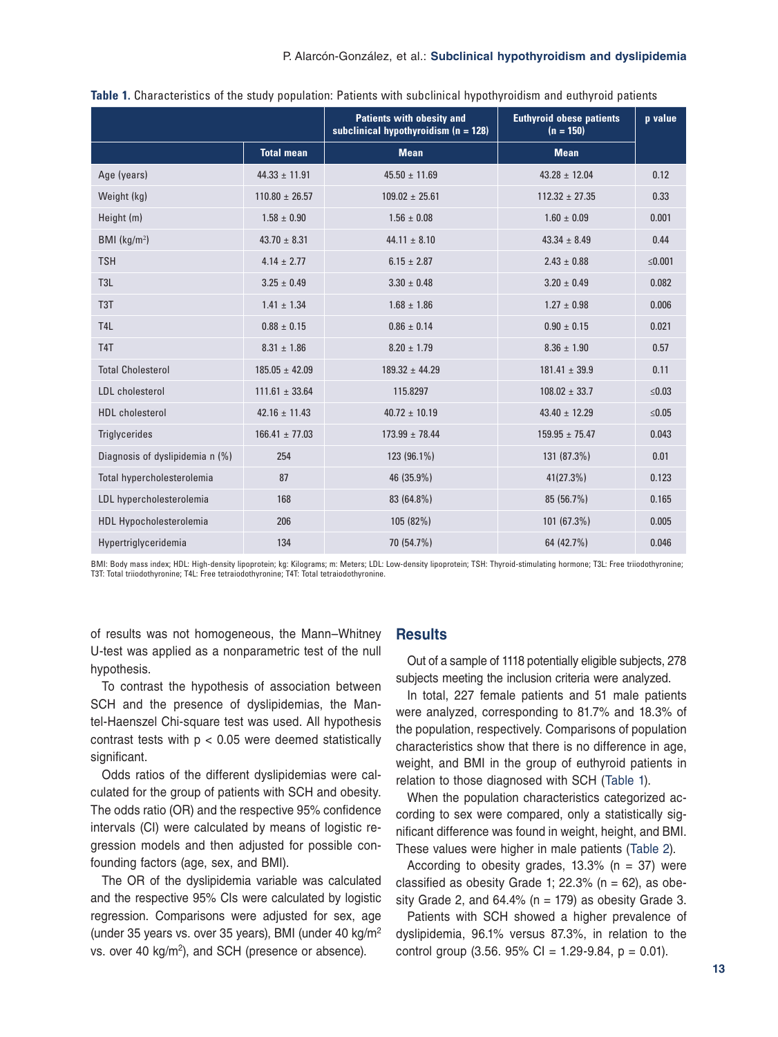|                                 |                    | <b>Patients with obesity and</b><br>subclinical hypothyroidism ( $n = 128$ ) | <b>Euthyroid obese patients</b><br>$(n = 150)$ | p value |
|---------------------------------|--------------------|------------------------------------------------------------------------------|------------------------------------------------|---------|
|                                 | <b>Total mean</b>  | <b>Mean</b>                                                                  | <b>Mean</b>                                    |         |
| Age (years)                     | $44.33 \pm 11.91$  | $45.50 \pm 11.69$                                                            | $43.28 \pm 12.04$                              | 0.12    |
| Weight (kg)                     | $110.80 \pm 26.57$ | $109.02 \pm 25.61$                                                           | $112.32 \pm 27.35$                             | 0.33    |
| Height (m)                      | $1.58 \pm 0.90$    | $1.56 \pm 0.08$                                                              | $1.60 \pm 0.09$                                | 0.001   |
| BMI ( $kg/m2$ )                 | $43.70 \pm 8.31$   | $44.11 \pm 8.10$                                                             | $43.34 \pm 8.49$                               | 0.44    |
| <b>TSH</b>                      | $4.14 \pm 2.77$    | $6.15 \pm 2.87$                                                              | $2.43 \pm 0.88$                                | ≤0.001  |
| T <sub>3</sub> L                | $3.25 \pm 0.49$    | $3.30 \pm 0.48$                                                              | $3.20 \pm 0.49$                                | 0.082   |
| T <sub>3</sub> T                | $1.41 \pm 1.34$    | $1.68 \pm 1.86$                                                              | $1.27 \pm 0.98$                                | 0.006   |
| T <sub>4</sub> L                | $0.88 \pm 0.15$    | $0.86 \pm 0.14$                                                              | $0.90 \pm 0.15$                                | 0.021   |
| T <sub>4</sub> T                | $8.31 \pm 1.86$    | $8.20 \pm 1.79$                                                              | $8.36 \pm 1.90$                                | 0.57    |
| <b>Total Cholesterol</b>        | $185.05 \pm 42.09$ | $189.32 \pm 44.29$                                                           | $181.41 \pm 39.9$                              | 0.11    |
| LDL cholesterol                 | $111.61 \pm 33.64$ | 115.8297                                                                     | $108.02 \pm 33.7$                              | ≤0.03   |
| <b>HDL</b> cholesterol          | $42.16 \pm 11.43$  | $40.72 \pm 10.19$                                                            | $43.40 \pm 12.29$                              | $≤0.05$ |
| <b>Triglycerides</b>            | $166.41 \pm 77.03$ | $173.99 \pm 78.44$                                                           | $159.95 \pm 75.47$                             | 0.043   |
| Diagnosis of dyslipidemia n (%) | 254                | 123 (96.1%)                                                                  | 131 (87.3%)                                    | 0.01    |
| Total hypercholesterolemia      | 87                 | 46 (35.9%)                                                                   | 41(27.3%)                                      | 0.123   |
| LDL hypercholesterolemia        | 168                | 83 (64.8%)                                                                   | 85 (56.7%)                                     | 0.165   |
| <b>HDL Hypocholesterolemia</b>  | 206                | 105 (82%)                                                                    | 101 (67.3%)                                    | 0.005   |
| Hypertriglyceridemia            | 134                | 70 (54.7%)                                                                   | 64 (42.7%)                                     | 0.046   |

| Table 1. Characteristics of the study population: Patients with subclinical hypothyroidism and euthyroid patients |
|-------------------------------------------------------------------------------------------------------------------|
|-------------------------------------------------------------------------------------------------------------------|

BMI: Body mass index; HDL: High-density lipoprotein; kg: Kilograms; m: Meters; LDL: Low-density lipoprotein; TSH: Thyroid-stimulating hormone; T3L: Free triiodothyronine; T3T: Total triiodothyronine; T4L: Free tetraiodothyronine; T4T: Total tetraiodothyronine.

of results was not homogeneous, the Mann–Whitney U-test was applied as a nonparametric test of the null hypothesis.

To contrast the hypothesis of association between SCH and the presence of dyslipidemias, the Mantel-Haenszel Chi-square test was used. All hypothesis contrast tests with  $p < 0.05$  were deemed statistically significant.

Odds ratios of the different dyslipidemias were calculated for the group of patients with SCH and obesity. The odds ratio (OR) and the respective 95% confidence intervals (CI) were calculated by means of logistic regression models and then adjusted for possible confounding factors (age, sex, and BMI).

The OR of the dyslipidemia variable was calculated and the respective 95% CIs were calculated by logistic regression. Comparisons were adjusted for sex, age (under 35 years vs. over 35 years), BMI (under 40 kg/m2 vs. over 40 kg/m<sup>2</sup>), and SCH (presence or absence).

## **Results**

Out of a sample of 1118 potentially eligible subjects, 278 subjects meeting the inclusion criteria were analyzed.

In total, 227 female patients and 51 male patients were analyzed, corresponding to 81.7% and 18.3% of the population, respectively. Comparisons of population characteristics show that there is no difference in age, weight, and BMI in the group of euthyroid patients in relation to those diagnosed with SCH (Table 1).

When the population characteristics categorized according to sex were compared, only a statistically significant difference was found in weight, height, and BMI. These values were higher in male patients (Table 2).

According to obesity grades,  $13.3\%$  (n = 37) were classified as obesity Grade 1; 22.3% ( $n = 62$ ), as obesity Grade 2, and  $64.4\%$  (n = 179) as obesity Grade 3.

Patients with SCH showed a higher prevalence of dyslipidemia, 96.1% versus 87.3%, in relation to the control group  $(3.56. 95\% \text{ Cl} = 1.29-9.84, p = 0.01)$ .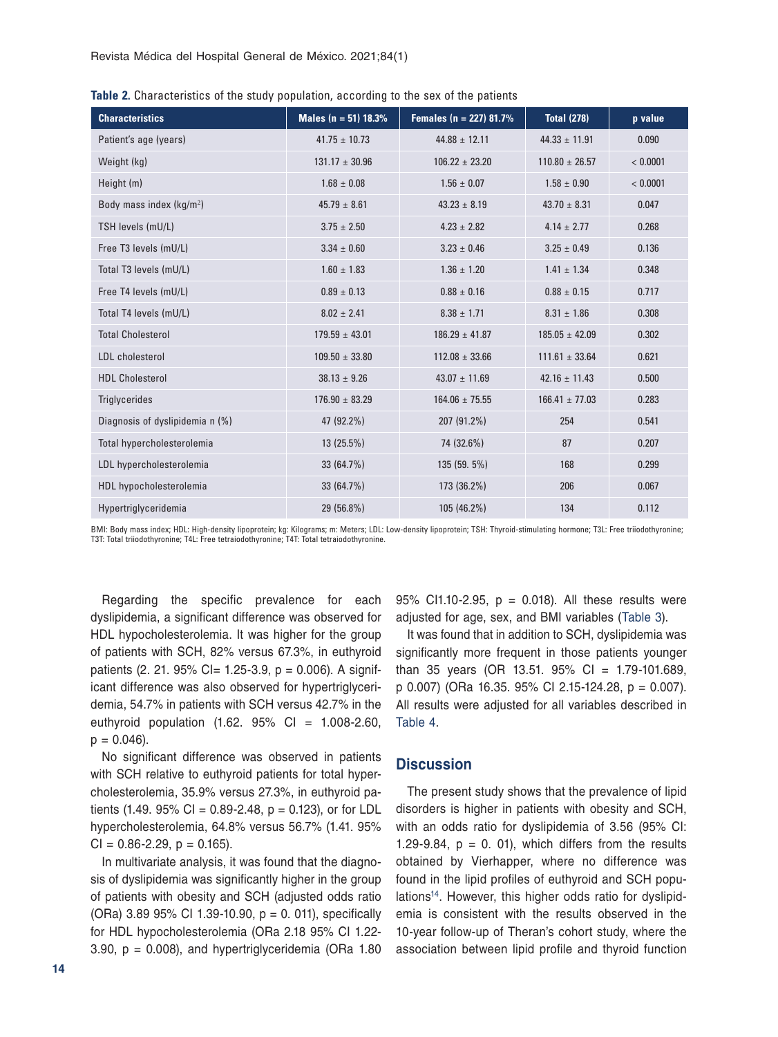| <b>Characteristics</b>               | Males ( $n = 51$ ) 18.3% | Females ( $n = 227$ ) 81.7% | <b>Total (278)</b> | p value  |
|--------------------------------------|--------------------------|-----------------------------|--------------------|----------|
| Patient's age (years)                | $41.75 \pm 10.73$        | $44.88 \pm 12.11$           | $44.33 \pm 11.91$  | 0.090    |
| Weight (kg)                          | $131.17 \pm 30.96$       | $106.22 \pm 23.20$          | $110.80 \pm 26.57$ | < 0.0001 |
| Height (m)                           | $1.68 \pm 0.08$          | $1.56 \pm 0.07$             | $1.58 \pm 0.90$    | < 0.0001 |
| Body mass index (kg/m <sup>2</sup> ) | $45.79 \pm 8.61$         | $43.23 \pm 8.19$            | $43.70 \pm 8.31$   | 0.047    |
| TSH levels (mU/L)                    | $3.75 \pm 2.50$          | $4.23 \pm 2.82$             | $4.14 \pm 2.77$    | 0.268    |
| Free T3 levels (mU/L)                | $3.34 \pm 0.60$          | $3.23 \pm 0.46$             | $3.25 \pm 0.49$    | 0.136    |
| Total T3 levels (mU/L)               | $1.60 \pm 1.83$          | $1.36 \pm 1.20$             | $1.41 \pm 1.34$    | 0.348    |
| Free T4 levels (mU/L)                | $0.89 \pm 0.13$          | $0.88 \pm 0.16$             | $0.88 \pm 0.15$    | 0.717    |
| Total T4 levels (mU/L)               | $8.02 \pm 2.41$          | $8.38 \pm 1.71$             | $8.31 \pm 1.86$    | 0.308    |
| <b>Total Cholesterol</b>             | $179.59 \pm 43.01$       | $186.29 \pm 41.87$          | $185.05 \pm 42.09$ | 0.302    |
| <b>LDL</b> cholesterol               | $109.50 \pm 33.80$       | $112.08 \pm 33.66$          | $111.61 \pm 33.64$ | 0.621    |
| <b>HDL Cholesterol</b>               | $38.13 \pm 9.26$         | $43.07 \pm 11.69$           | $42.16 \pm 11.43$  | 0.500    |
| <b>Triglycerides</b>                 | $176.90 \pm 83.29$       | $164.06 \pm 75.55$          | $166.41 \pm 77.03$ | 0.283    |
| Diagnosis of dyslipidemia n (%)      | 47 (92.2%)               | 207 (91.2%)                 | 254                | 0.541    |
| Total hypercholesterolemia           | 13(25.5%)                | 74 (32.6%)                  | 87                 | 0.207    |
| LDL hypercholesterolemia             | 33 (64.7%)               | 135 (59. 5%)                | 168                | 0.299    |
| HDL hypocholesterolemia              | 33 (64.7%)               | 173 (36.2%)                 | 206                | 0.067    |
| Hypertriglyceridemia                 | 29 (56.8%)               | 105 (46.2%)                 | 134                | 0.112    |

**Table 2.** Characteristics of the study population, according to the sex of the patients

BMI: Body mass index; HDL: High-density lipoprotein; kg: Kilograms; m: Meters; LDL: Low-density lipoprotein; TSH: Thyroid-stimulating hormone; T3L: Free triiodothyronine; T3T: Total triiodothyronine; T4L: Free tetraiodothyronine; T4T: Total tetraiodothyronine.

Regarding the specific prevalence for each dyslipidemia, a significant difference was observed for HDL hypocholesterolemia. It was higher for the group of patients with SCH, 82% versus 67.3%, in euthyroid patients (2. 21. 95% CI= 1.25-3.9,  $p = 0.006$ ). A significant difference was also observed for hypertriglyceridemia, 54.7% in patients with SCH versus 42.7% in the euthyroid population  $(1.62. 95\% \text{ CI} = 1.008-2.60,$  $p = 0.046$ ).

No significant difference was observed in patients with SCH relative to euthyroid patients for total hypercholesterolemia, 35.9% versus 27.3%, in euthyroid patients (1.49. 95% CI = 0.89-2.48,  $p = 0.123$ ), or for LDL hypercholesterolemia, 64.8% versus 56.7% (1.41. 95%  $Cl = 0.86 - 2.29$ ,  $p = 0.165$ ).

In multivariate analysis, it was found that the diagnosis of dyslipidemia was significantly higher in the group of patients with obesity and SCH (adjusted odds ratio (ORa) 3.89 95% CI 1.39-10.90, p = 0. 011), specifically for HDL hypocholesterolemia (ORa 2.18 95% CI 1.22- 3.90,  $p = 0.008$ ), and hypertriglyceridemia (ORa 1.80 95% CI1.10-2.95,  $p = 0.018$ ). All these results were adjusted for age, sex, and BMI variables (Table 3).

It was found that in addition to SCH, dyslipidemia was significantly more frequent in those patients younger than 35 years (OR 13.51. 95% CI = 1.79-101.689, p 0.007) (ORa 16.35. 95% CI 2.15-124.28, p = 0.007). All results were adjusted for all variables described in Table 4.

#### **Discussion**

The present study shows that the prevalence of lipid disorders is higher in patients with obesity and SCH, with an odds ratio for dyslipidemia of 3.56 (95% CI: 1.29-9.84,  $p = 0$ . 01), which differs from the results obtained by Vierhapper, where no difference was found in the lipid profiles of euthyroid and SCH populations<sup>14</sup>. However, this higher odds ratio for dyslipidemia is consistent with the results observed in the 10-year follow-up of Theran's cohort study, where the association between lipid profile and thyroid function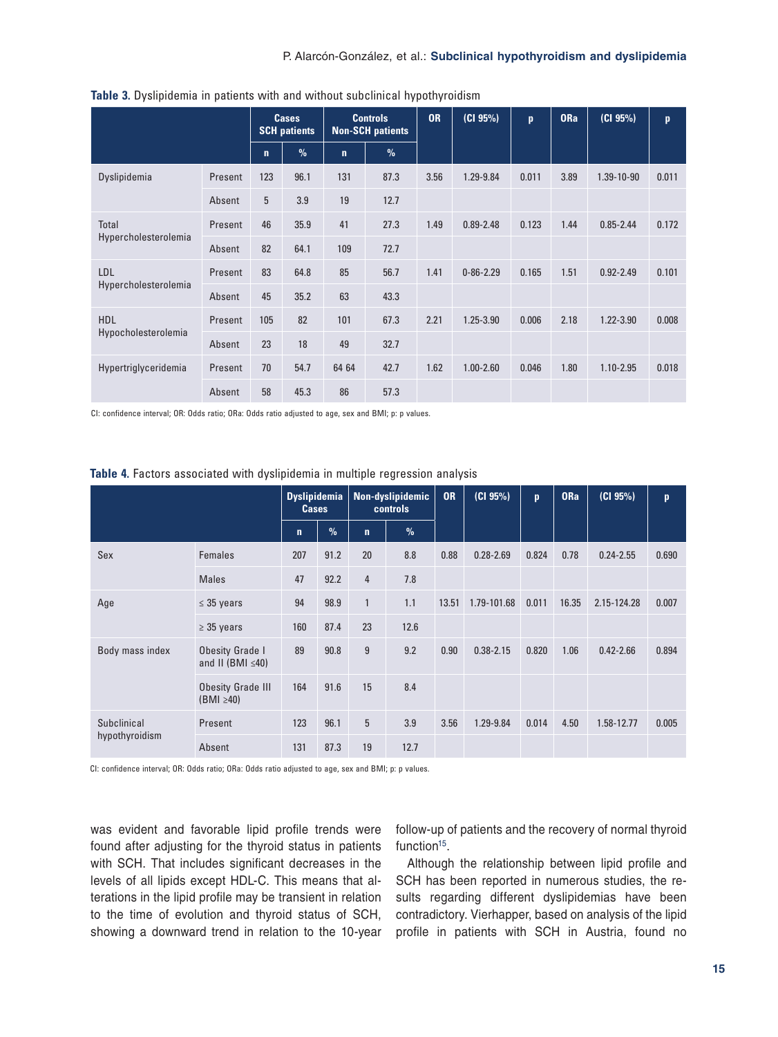|                                      |         | <b>Cases</b><br><b>SCH patients</b> |               | <b>Controls</b><br><b>Non-SCH patients</b> |      | <b>OR</b> | (Cl 95%)        | $\mathbf{p}$ | <b>ORa</b> | (CI 95%)      | p     |
|--------------------------------------|---------|-------------------------------------|---------------|--------------------------------------------|------|-----------|-----------------|--------------|------------|---------------|-------|
|                                      |         | $\mathbf n$                         | $\frac{9}{6}$ | $\mathbf{n}$                               | $\%$ |           |                 |              |            |               |       |
| Dyslipidemia                         | Present | 123                                 | 96.1          | 131                                        | 87.3 | 3.56      | 1.29-9.84       | 0.011        | 3.89       | 1.39-10-90    | 0.011 |
|                                      | Absent  | 5                                   | 3.9           | 19                                         | 12.7 |           |                 |              |            |               |       |
| <b>Total</b><br>Hypercholesterolemia | Present | 46                                  | 35.9          | 41                                         | 27.3 | 1.49      | $0.89 - 2.48$   | 0.123        | 1.44       | $0.85 - 2.44$ | 0.172 |
|                                      | Absent  | 82                                  | 64.1          | 109                                        | 72.7 |           |                 |              |            |               |       |
| LDL<br>Hypercholesterolemia          | Present | 83                                  | 64.8          | 85                                         | 56.7 | 1.41      | $0 - 86 - 2.29$ | 0.165        | 1.51       | $0.92 - 2.49$ | 0.101 |
|                                      | Absent  | 45                                  | 35.2          | 63                                         | 43.3 |           |                 |              |            |               |       |
| HDL<br>Hypocholesterolemia           | Present | 105                                 | 82            | 101                                        | 67.3 | 2.21      | 1.25-3.90       | 0.006        | 2.18       | 1.22-3.90     | 0.008 |
|                                      | Absent  | 23                                  | 18            | 49                                         | 32.7 |           |                 |              |            |               |       |
| Hypertriglyceridemia                 | Present | 70                                  | 54.7          | 64 64                                      | 42.7 | 1.62      | $1.00 - 2.60$   | 0.046        | 1.80       | $1.10 - 2.95$ | 0.018 |
|                                      | Absent  | 58                                  | 45.3          | 86                                         | 57.3 |           |                 |              |            |               |       |

**Table 3.** Dyslipidemia in patients with and without subclinical hypothyroidism

CI: confidence interval; OR: Odds ratio; ORa: Odds ratio adjusted to age, sex and BMI; p: p values.

|                               |                                                   | <b>Dyslipidemia</b><br><b>Cases</b> |               | Non-dyslipidemic<br><b>controls</b> |      | <b>OR</b> | (CI 95%)      | p     | <b>ORa</b> | (CI 95%)      | $\mathbf{p}$ |
|-------------------------------|---------------------------------------------------|-------------------------------------|---------------|-------------------------------------|------|-----------|---------------|-------|------------|---------------|--------------|
|                               |                                                   | $\mathbf n$                         | $\frac{9}{6}$ | $\mathbf n$                         | $\%$ |           |               |       |            |               |              |
| Sex                           | Females                                           | 207                                 | 91.2          | 20                                  | 8.8  | 0.88      | $0.28 - 2.69$ | 0.824 | 0.78       | $0.24 - 2.55$ | 0.690        |
|                               | <b>Males</b>                                      | 47                                  | 92.2          | $\overline{4}$                      | 7.8  |           |               |       |            |               |              |
| Age                           | $\leq$ 35 years                                   | 94                                  | 98.9          | $\mathbf{1}$                        | 1.1  | 13.51     | 1.79-101.68   | 0.011 | 16.35      | 2.15-124.28   | 0.007        |
|                               | $\geq$ 35 years                                   | 160                                 | 87.4          | 23                                  | 12.6 |           |               |       |            |               |              |
| Body mass index               | <b>Obesity Grade I</b><br>and II (BMI $\leq 40$ ) | 89                                  | 90.8          | 9                                   | 9.2  | 0.90      | $0.38 - 2.15$ | 0.820 | 1.06       | $0.42 - 2.66$ | 0.894        |
|                               | <b>Obesity Grade III</b><br>$(BMI \geq 40)$       | 164                                 | 91.6          | 15                                  | 8.4  |           |               |       |            |               |              |
| Subclinical<br>hypothyroidism | Present                                           | 123                                 | 96.1          | 5                                   | 3.9  | 3.56      | 1.29-9.84     | 0.014 | 4.50       | 1.58-12.77    | 0.005        |
|                               | Absent                                            | 131                                 | 87.3          | 19                                  | 12.7 |           |               |       |            |               |              |

**Table 4.** Factors associated with dyslipidemia in multiple regression analysis

CI: confidence interval; OR: Odds ratio; ORa: Odds ratio adjusted to age, sex and BMI; p: p values.

was evident and favorable lipid profile trends were found after adjusting for the thyroid status in patients with SCH. That includes significant decreases in the levels of all lipids except HDL-C. This means that alterations in the lipid profile may be transient in relation to the time of evolution and thyroid status of SCH, showing a downward trend in relation to the 10-year follow-up of patients and the recovery of normal thyroid function<sup>15</sup>.

Although the relationship between lipid profile and SCH has been reported in numerous studies, the results regarding different dyslipidemias have been contradictory. Vierhapper, based on analysis of the lipid profile in patients with SCH in Austria, found no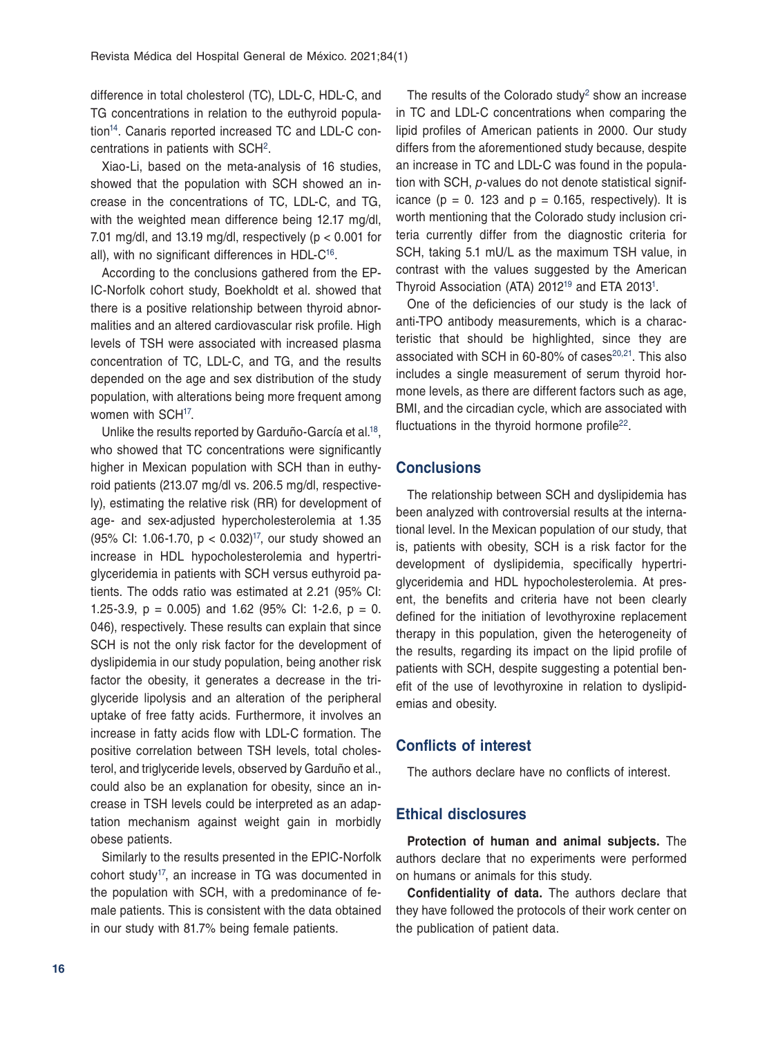difference in total cholesterol (TC), LDL-C, HDL-C, and TG concentrations in relation to the euthyroid population14. Canaris reported increased TC and LDL-C concentrations in patients with SCH2.

Xiao-Li, based on the meta-analysis of 16 studies, showed that the population with SCH showed an increase in the concentrations of TC, LDL-C, and TG, with the weighted mean difference being 12.17 mg/dl, 7.01 mg/dl, and 13.19 mg/dl, respectively ( $p < 0.001$  for all), with no significant differences in HDL-C<sup>16</sup>.

According to the conclusions gathered from the EP-IC-Norfolk cohort study, Boekholdt et al. showed that there is a positive relationship between thyroid abnormalities and an altered cardiovascular risk profile. High levels of TSH were associated with increased plasma concentration of TC, LDL-C, and TG, and the results depended on the age and sex distribution of the study population, with alterations being more frequent among women with SCH<sup>17</sup>.

Unlike the results reported by Garduño-García et al.18, who showed that TC concentrations were significantly higher in Mexican population with SCH than in euthyroid patients (213.07 mg/dl vs. 206.5 mg/dl, respectively), estimating the relative risk (RR) for development of age- and sex-adjusted hypercholesterolemia at 1.35 (95% CI: 1.06-1.70,  $p < 0.032$ )<sup>17</sup>, our study showed an increase in HDL hypocholesterolemia and hypertriglyceridemia in patients with SCH versus euthyroid patients. The odds ratio was estimated at 2.21 (95% CI: 1.25-3.9,  $p = 0.005$ ) and 1.62 (95% Cl: 1-2.6,  $p = 0$ . 046), respectively. These results can explain that since SCH is not the only risk factor for the development of dyslipidemia in our study population, being another risk factor the obesity, it generates a decrease in the triglyceride lipolysis and an alteration of the peripheral uptake of free fatty acids. Furthermore, it involves an increase in fatty acids flow with LDL-C formation. The positive correlation between TSH levels, total cholesterol, and triglyceride levels, observed by Garduño et al., could also be an explanation for obesity, since an increase in TSH levels could be interpreted as an adaptation mechanism against weight gain in morbidly obese patients.

Similarly to the results presented in the EPIC-Norfolk cohort study<sup>17</sup>, an increase in TG was documented in the population with SCH, with a predominance of female patients. This is consistent with the data obtained in our study with 81.7% being female patients.

The results of the Colorado study<sup>2</sup> show an increase in TC and LDL-C concentrations when comparing the lipid profiles of American patients in 2000. Our study differs from the aforementioned study because, despite an increase in TC and LDL-C was found in the population with SCH, *p*-values do not denote statistical significance ( $p = 0$ . 123 and  $p = 0.165$ , respectively). It is worth mentioning that the Colorado study inclusion criteria currently differ from the diagnostic criteria for SCH, taking 5.1 mU/L as the maximum TSH value, in contrast with the values suggested by the American Thyroid Association (ATA) 2012<sup>19</sup> and ETA 2013<sup>1</sup>.

One of the deficiencies of our study is the lack of anti-TPO antibody measurements, which is a characteristic that should be highlighted, since they are associated with SCH in 60-80% of cases $20,21$ . This also includes a single measurement of serum thyroid hormone levels, as there are different factors such as age, BMI, and the circadian cycle, which are associated with fluctuations in the thyroid hormone profile<sup>22</sup>.

## **Conclusions**

The relationship between SCH and dyslipidemia has been analyzed with controversial results at the international level. In the Mexican population of our study, that is, patients with obesity, SCH is a risk factor for the development of dyslipidemia, specifically hypertriglyceridemia and HDL hypocholesterolemia. At present, the benefits and criteria have not been clearly defined for the initiation of levothyroxine replacement therapy in this population, given the heterogeneity of the results, regarding its impact on the lipid profile of patients with SCH, despite suggesting a potential benefit of the use of levothyroxine in relation to dyslipidemias and obesity.

#### **Conflicts of interest**

The authors declare have no conflicts of interest.

### **Ethical disclosures**

**Protection of human and animal subjects.** The authors declare that no experiments were performed on humans or animals for this study.

**Confidentiality of data.** The authors declare that they have followed the protocols of their work center on the publication of patient data.